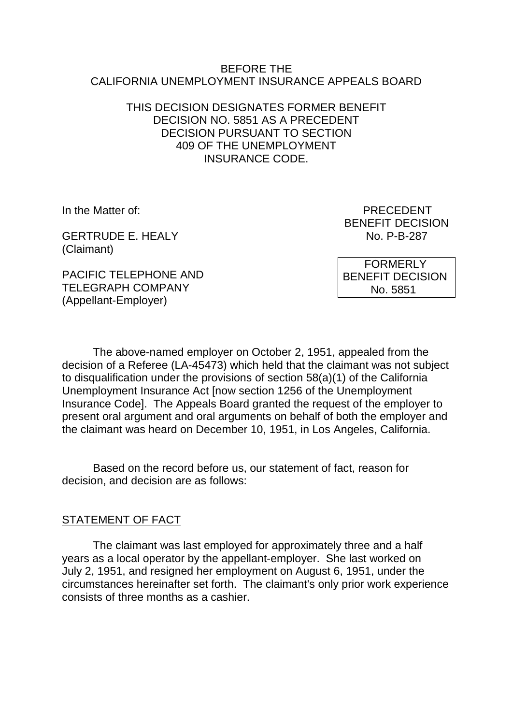#### BEFORE THE CALIFORNIA UNEMPLOYMENT INSURANCE APPEALS BOARD

### THIS DECISION DESIGNATES FORMER BENEFIT DECISION NO. 5851 AS A PRECEDENT DECISION PURSUANT TO SECTION 409 OF THE UNEMPLOYMENT INSURANCE CODE.

GERTRUDE E. HEALY NO. P-B-287 (Claimant)

In the Matter of: PRECEDENT BENEFIT DECISION

PACIFIC TELEPHONE AND TELEGRAPH COMPANY (Appellant-Employer)

 FORMERLY BENEFIT DECISION No. 5851

The above-named employer on October 2, 1951, appealed from the decision of a Referee (LA-45473) which held that the claimant was not subject to disqualification under the provisions of section 58(a)(1) of the California Unemployment Insurance Act [now section 1256 of the Unemployment Insurance Code]. The Appeals Board granted the request of the employer to present oral argument and oral arguments on behalf of both the employer and the claimant was heard on December 10, 1951, in Los Angeles, California.

Based on the record before us, our statement of fact, reason for decision, and decision are as follows:

## STATEMENT OF FACT

The claimant was last employed for approximately three and a half years as a local operator by the appellant-employer. She last worked on July 2, 1951, and resigned her employment on August 6, 1951, under the circumstances hereinafter set forth. The claimant's only prior work experience consists of three months as a cashier.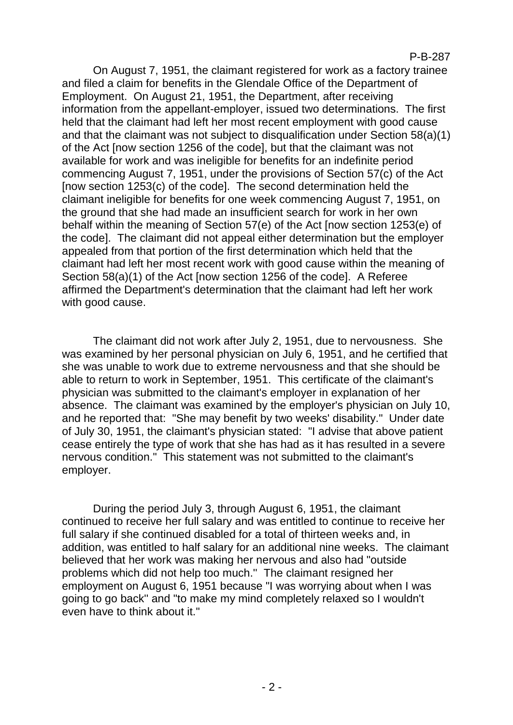#### P-B-287

On August 7, 1951, the claimant registered for work as a factory trainee and filed a claim for benefits in the Glendale Office of the Department of Employment. On August 21, 1951, the Department, after receiving information from the appellant-employer, issued two determinations. The first held that the claimant had left her most recent employment with good cause and that the claimant was not subject to disqualification under Section 58(a)(1) of the Act [now section 1256 of the code], but that the claimant was not available for work and was ineligible for benefits for an indefinite period commencing August 7, 1951, under the provisions of Section 57(c) of the Act [now section 1253(c) of the code]. The second determination held the claimant ineligible for benefits for one week commencing August 7, 1951, on the ground that she had made an insufficient search for work in her own behalf within the meaning of Section 57(e) of the Act [now section 1253(e) of the code]. The claimant did not appeal either determination but the employer appealed from that portion of the first determination which held that the claimant had left her most recent work with good cause within the meaning of Section 58(a)(1) of the Act [now section 1256 of the code]. A Referee affirmed the Department's determination that the claimant had left her work with good cause.

The claimant did not work after July 2, 1951, due to nervousness. She was examined by her personal physician on July 6, 1951, and he certified that she was unable to work due to extreme nervousness and that she should be able to return to work in September, 1951. This certificate of the claimant's physician was submitted to the claimant's employer in explanation of her absence. The claimant was examined by the employer's physician on July 10, and he reported that: "She may benefit by two weeks' disability." Under date of July 30, 1951, the claimant's physician stated: "I advise that above patient cease entirely the type of work that she has had as it has resulted in a severe nervous condition." This statement was not submitted to the claimant's employer.

During the period July 3, through August 6, 1951, the claimant continued to receive her full salary and was entitled to continue to receive her full salary if she continued disabled for a total of thirteen weeks and, in addition, was entitled to half salary for an additional nine weeks. The claimant believed that her work was making her nervous and also had "outside problems which did not help too much.'' The claimant resigned her employment on August 6, 1951 because "I was worrying about when I was going to go back'' and "to make my mind completely relaxed so I wouldn't even have to think about it."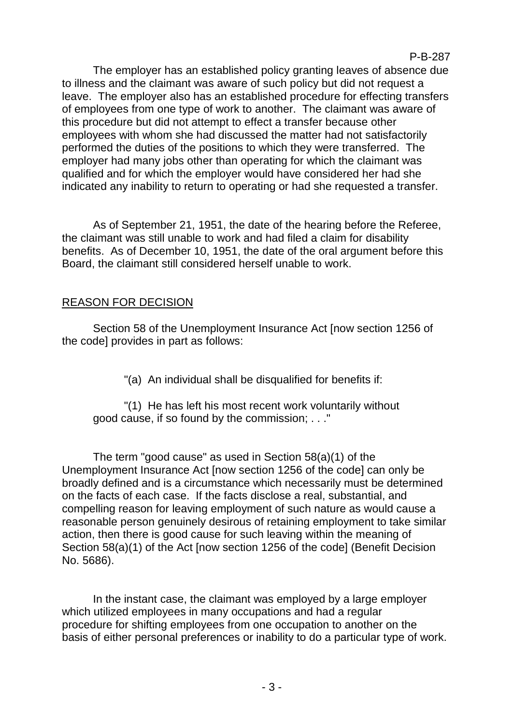The employer has an established policy granting leaves of absence due to illness and the claimant was aware of such policy but did not request a leave. The employer also has an established procedure for effecting transfers of employees from one type of work to another. The claimant was aware of this procedure but did not attempt to effect a transfer because other employees with whom she had discussed the matter had not satisfactorily performed the duties of the positions to which they were transferred. The employer had many jobs other than operating for which the claimant was qualified and for which the employer would have considered her had she indicated any inability to return to operating or had she requested a transfer.

As of September 21, 1951, the date of the hearing before the Referee, the claimant was still unable to work and had filed a claim for disability benefits. As of December 10, 1951, the date of the oral argument before this Board, the claimant still considered herself unable to work.

## REASON FOR DECISION

Section 58 of the Unemployment Insurance Act [now section 1256 of the code] provides in part as follows:

"(a) An individual shall be disqualified for benefits if:

"(1) He has left his most recent work voluntarily without good cause, if so found by the commission; . . ."

The term "good cause" as used in Section 58(a)(1) of the Unemployment Insurance Act [now section 1256 of the code] can only be broadly defined and is a circumstance which necessarily must be determined on the facts of each case. If the facts disclose a real, substantial, and compelling reason for leaving employment of such nature as would cause a reasonable person genuinely desirous of retaining employment to take similar action, then there is good cause for such leaving within the meaning of Section 58(a)(1) of the Act [now section 1256 of the code] (Benefit Decision No. 5686).

In the instant case, the claimant was employed by a large employer which utilized employees in many occupations and had a regular procedure for shifting employees from one occupation to another on the basis of either personal preferences or inability to do a particular type of work.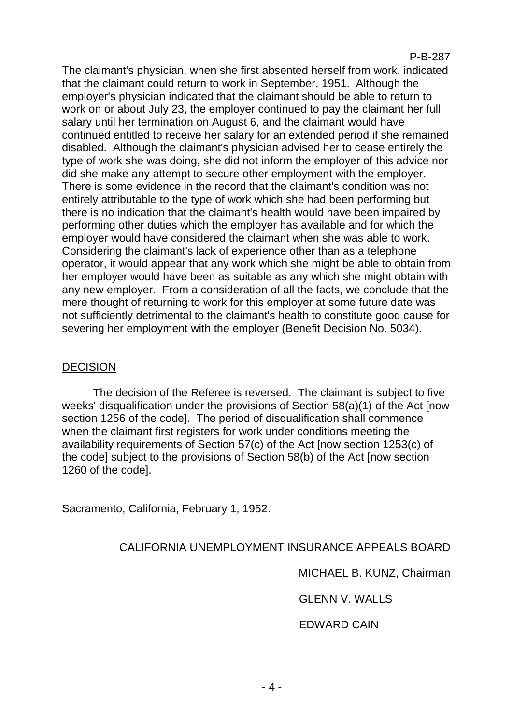#### P-B-287

The claimant's physician, when she first absented herself from work, indicated that the claimant could return to work in September, 1951. Although the employer's physician indicated that the claimant should be able to return to work on or about July 23, the employer continued to pay the claimant her full salary until her termination on August 6, and the claimant would have continued entitled to receive her salary for an extended period if she remained disabled. Although the claimant's physician advised her to cease entirely the type of work she was doing, she did not inform the employer of this advice nor did she make any attempt to secure other employment with the employer. There is some evidence in the record that the claimant's condition was not entirely attributable to the type of work which she had been performing but there is no indication that the claimant's health would have been impaired by performing other duties which the employer has available and for which the employer would have considered the claimant when she was able to work. Considering the claimant's lack of experience other than as a telephone operator, it would appear that any work which she might be able to obtain from her employer would have been as suitable as any which she might obtain with any new employer. From a consideration of all the facts, we conclude that the mere thought of returning to work for this employer at some future date was not sufficiently detrimental to the claimant's health to constitute good cause for severing her employment with the employer (Benefit Decision No. 5034).

## **DECISION**

The decision of the Referee is reversed. The claimant is subject to five weeks' disqualification under the provisions of Section 58(a)(1) of the Act [now section 1256 of the code]. The period of disqualification shall commence when the claimant first registers for work under conditions meeting the availability requirements of Section 57(c) of the Act [now section 1253(c) of the code] subject to the provisions of Section 58(b) of the Act [now section 1260 of the code].

Sacramento, California, February 1, 1952.

## CALIFORNIA UNEMPLOYMENT INSURANCE APPEALS BOARD

MICHAEL B. KUNZ, Chairman

GLENN V. WALLS

#### EDWARD CAIN